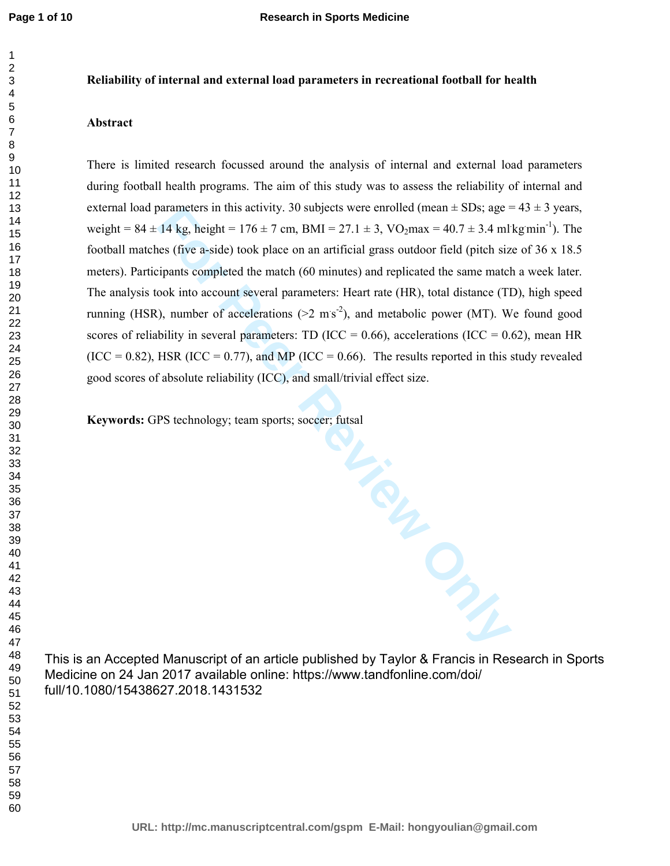## **Reliability of internal and external load parameters in recreational football for health**

## **Abstract**

There is limited research focussed around the analysis of internal and external load parameters during football health programs. The aim of this study was to assess the reliability of internal and external load parameters in this activity. 30 subjects were enrolled (mean  $\pm$  SDs; age = 43  $\pm$  3 years, weight =  $84 \pm 14$  kg, height =  $176 \pm 7$  cm, BMI =  $27.1 \pm 3$ , VO<sub>2</sub>max =  $40.7 \pm 3.4$  ml kg min<sup>-1</sup>). The football matches (five a-side) took place on an artificial grass outdoor field (pitch size of 36 x 18.5 meters). Participants completed the match (60 minutes) and replicated the same match a week later. The analysis took into account several parameters: Heart rate (HR), total distance (TD), high speed running (HSR), number of accelerations ( $>2 \text{ ms}^{-2}$ ), and metabolic power (MT). We found good scores of reliability in several parameters: TD (ICC =  $0.66$ ), accelerations (ICC =  $0.62$ ), mean HR  $(ICC = 0.82)$ , HSR  $(ICC = 0.77)$ , and MP  $(ICC = 0.66)$ . The results reported in this study revealed good scores of absolute reliability (ICC), and small/trivial effect size.

**Fire** Prince Print **Keywords:** GPS technology; team sports; soccer; futsal

This is an Accepted Manuscript of an article published by Taylor & Francis in Research in Sports Medicine on 24 Jan 2017 available online: https://www.tandfonline.com/doi/ full/10.1080/15438627.2018.1431532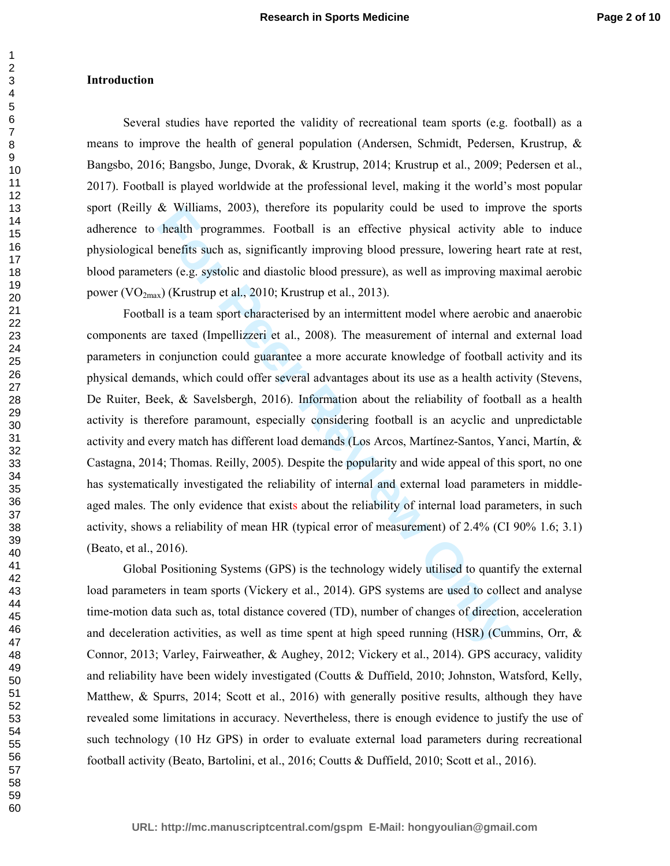# **Introduction**

Several studies have reported the validity of recreational team sports (e.g. football) as a means to improve the health of general population (Andersen, Schmidt, Pedersen, Krustrup, & Bangsbo, 2016; Bangsbo, Junge, Dvorak, & Krustrup, 2014; Krustrup et al., 2009; Pedersen et al., 2017). Football is played worldwide at the professional level, making it the world's most popular sport (Reilly & Williams, 2003), therefore its popularity could be used to improve the sports adherence to health programmes. Football is an effective physical activity able to induce physiological benefits such as, significantly improving blood pressure, lowering heart rate at rest, blood parameters (e.g. systolic and diastolic blood pressure), as well as improving maximal aerobic power  $(VO_{2max})$  (Krustrup et al., 2010; Krustrup et al., 2013).

**Example 12** Muslims, 2005), therefore its popularity could be used to impro-<br>health programmes. Football is an effective physical activity al<br>benefits such as, significantly improving blood pressure, lowering hears<br>(e.g. Football is a team sport characterised by an intermittent model where aerobic and anaerobic components are taxed (Impellizzeri et al., 2008). The measurement of internal and external load parameters in conjunction could guarantee a more accurate knowledge of football activity and its physical demands, which could offer several advantages about its use as a health activity (Stevens, De Ruiter, Beek, & Savelsbergh, 2016). Information about the reliability of football as a health activity is therefore paramount, especially considering football is an acyclic and unpredictable activity and every match has different load demands (Los Arcos, Martínez-Santos, Yanci, Martín, & Castagna, 2014; Thomas. Reilly, 2005). Despite the popularity and wide appeal of this sport, no one has systematically investigated the reliability of internal and external load parameters in middleaged males. The only evidence that exists about the reliability of internal load parameters, in such activity, shows a reliability of mean HR (typical error of measurement) of 2.4% (CI 90% 1.6; 3.1) (Beato, et al., 2016).

Global Positioning Systems (GPS) is the technology widely utilised to quantify the external load parameters in team sports (Vickery et al., 2014). GPS systems are used to collect and analyse time-motion data such as, total distance covered (TD), number of changes of direction, acceleration and deceleration activities, as well as time spent at high speed running (HSR) (Cummins, Orr, & Connor, 2013; Varley, Fairweather, & Aughey, 2012; Vickery et al., 2014). GPS accuracy, validity and reliability have been widely investigated (Coutts & Duffield, 2010; Johnston, Watsford, Kelly, Matthew, & Spurrs, 2014; Scott et al., 2016) with generally positive results, although they have revealed some limitations in accuracy. Nevertheless, there is enough evidence to justify the use of such technology (10 Hz GPS) in order to evaluate external load parameters during recreational football activity (Beato, Bartolini, et al., 2016; Coutts & Duffield, 2010; Scott et al., 2016).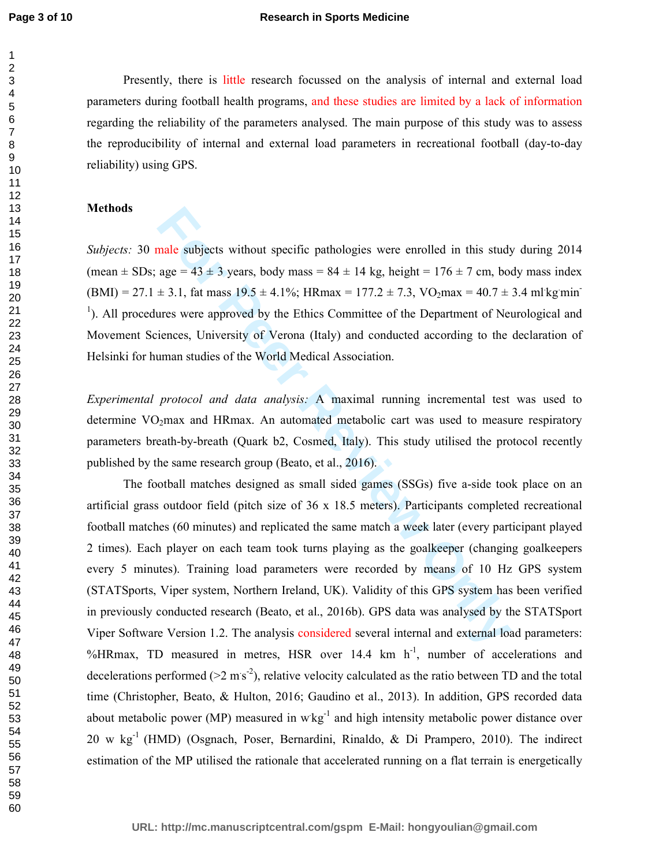Presently, there is little research focussed on the analysis of internal and external load parameters during football health programs, and these studies are limited by a lack of information regarding the reliability of the parameters analysed. The main purpose of this study was to assess the reproducibility of internal and external load parameters in recreational football (day-to-day reliability) using GPS.

# **Methods**

*Subjects:* 30 male subjects without specific pathologies were enrolled in this study during 2014 (mean  $\pm$  SDs; age = 43  $\pm$  3 years, body mass = 84  $\pm$  14 kg, height = 176  $\pm$  7 cm, body mass index  $(BMI) = 27.1 \pm 3.1$ , fat mass  $19.5 \pm 4.1\%$ ; HRmax = 177.2  $\pm$  7.3, VO<sub>2</sub>max = 40.7  $\pm$  3.4 ml kg min <sup>1</sup>). All procedures were approved by the Ethics Committee of the Department of Neurological and Movement Sciences, University of Verona (Italy) and conducted according to the declaration of Helsinki for human studies of the World Medical Association.

*Experimental protocol and data analysis:* A maximal running incremental test was used to determine  $VO<sub>2</sub>max$  and HRmax. An automated metabolic cart was used to measure respiratory parameters breath-by-breath (Quark b2, Cosmed, Italy). This study utilised the protocol recently published by the same research group (Beato, et al., 2016).

male subjects without specific pathologies were enrolled in this stud,<br>age = 43 ± 3 years, body mass = 84 ± 14 kg, height = 176 ± 7 cm, bo<br> $\pm$  3.1, fat mass 19.5 ± 4.1%; HRmax = 177.2 ± 7.3, VO<sub>2</sub>max = 40.7 ±<br>ures were a The football matches designed as small sided games (SSGs) five a-side took place on an artificial grass outdoor field (pitch size of 36 x 18.5 meters). Participants completed recreational football matches (60 minutes) and replicated the same match a week later (every participant played 2 times). Each player on each team took turns playing as the goalkeeper (changing goalkeepers every 5 minutes). Training load parameters were recorded by means of 10 Hz GPS system (STATSports, Viper system, Northern Ireland, UK). Validity of this GPS system has been verified in previously conducted research (Beato, et al., 2016b). GPS data was analysed by the STATSport Viper Software Version 1.2. The analysis considered several internal and external load parameters: %HRmax, TD measured in metres, HSR over 14.4 km h<sup>-1</sup>, number of accelerations and decelerations performed ( $>2 \text{ ms}^{-2}$ ), relative velocity calculated as the ratio between TD and the total time (Christopher, Beato, & Hulton, 2016; Gaudino et al., 2013). In addition, GPS recorded data about metabolic power (MP) measured in  $wkg^{-1}$  and high intensity metabolic power distance over 20 w  $kg^{-1}$  (HMD) (Osgnach, Poser, Bernardini, Rinaldo, & Di Prampero, 2010). The indirect estimation of the MP utilised the rationale that accelerated running on a flat terrain is energetically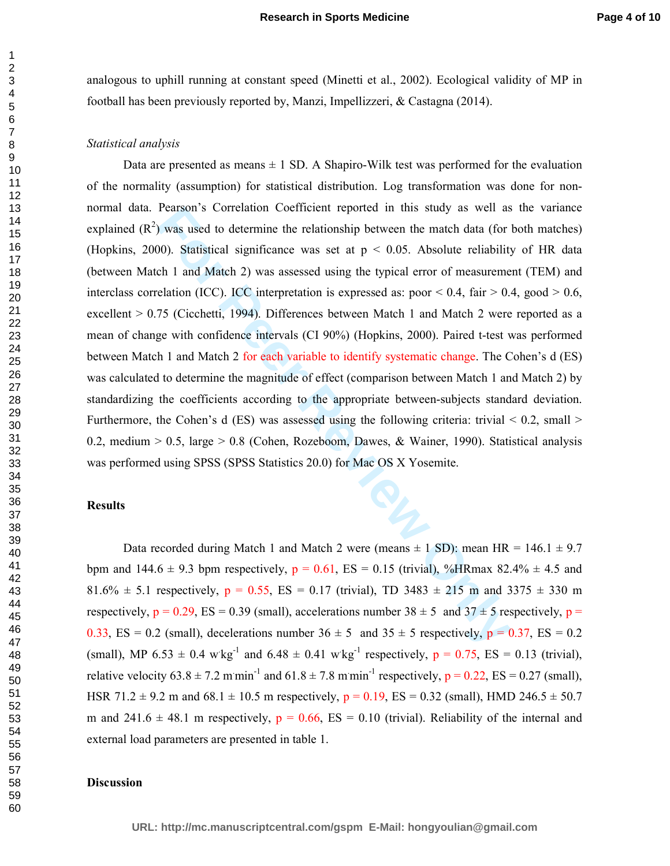analogous to uphill running at constant speed (Minetti et al., 2002). Ecological validity of MP in football has been previously reported by, Manzi, Impellizzeri, & Castagna (2014).

## *Statistical analysis*

**Franchistan SCOTER CONDITE (TEAM)** The state of the match data (for 00). Statistical significance was set at  $p < 0.05$ . Absolute reliability of 1 and Match 2) was assessed using the typical error of measuremedation (ICC) Data are presented as means  $\pm 1$  SD. A Shapiro-Wilk test was performed for the evaluation of the normality (assumption) for statistical distribution. Log transformation was done for nonnormal data. Pearson's Correlation Coefficient reported in this study as well as the variance explained  $(R^2)$  was used to determine the relationship between the match data (for both matches) (Hopkins, 2000). Statistical significance was set at  $p < 0.05$ . Absolute reliability of HR data (between Match 1 and Match 2) was assessed using the typical error of measurement (TEM) and interclass correlation (ICC). ICC interpretation is expressed as: poor  $\leq 0.4$ , fair  $\geq 0.4$ , good  $\geq 0.6$ , excellent > 0.75 (Cicchetti, 1994). Differences between Match 1 and Match 2 were reported as a mean of change with confidence intervals (CI 90%) (Hopkins, 2000). Paired t-test was performed between Match 1 and Match 2 for each variable to identify systematic change. The Cohen's d (ES) was calculated to determine the magnitude of effect (comparison between Match 1 and Match 2) by standardizing the coefficients according to the appropriate between-subjects standard deviation. Furthermore, the Cohen's d (ES) was assessed using the following criteria: trivial  $\leq 0.2$ , small  $\geq$ 0.2, medium  $> 0.5$ , large  $> 0.8$  (Cohen, Rozeboom, Dawes, & Wainer, 1990). Statistical analysis was performed using SPSS (SPSS Statistics 20.0) for Mac OS X Yosemite.

## **Results**

Data recorded during Match 1 and Match 2 were (means  $\pm$  1 SD): mean HR = 146.1  $\pm$  9.7 bpm and  $144.6 \pm 9.3$  bpm respectively,  $p = 0.61$ ,  $ES = 0.15$  (trivial), %HRmax 82.4%  $\pm$  4.5 and 81.6%  $\pm$  5.1 respectively, p = 0.55, ES = 0.17 (trivial), TD 3483  $\pm$  215 m and 3375  $\pm$  330 m respectively,  $p = 0.29$ , ES = 0.39 (small), accelerations number  $38 \pm 5$  and  $37 \pm 5$  respectively,  $p =$ 0.33, ES = 0.2 (small), decelerations number  $36 \pm 5$  and  $35 \pm 5$  respectively,  $p = 0.37$ , ES = 0.2 (small), MP 6.53  $\pm$  0.4 w kg<sup>-1</sup> and 6.48  $\pm$  0.41 w kg<sup>-1</sup> respectively,  $p = 0.75$ , ES = 0.13 (trivial), relative velocity  $63.8 \pm 7.2$  m min<sup>-1</sup> and  $61.8 \pm 7.8$  m min<sup>-1</sup> respectively,  $p = 0.22$ , ES = 0.27 (small), HSR 71.2  $\pm$  9.2 m and 68.1  $\pm$  10.5 m respectively,  $p = 0.19$ , ES = 0.32 (small), HMD 246.5  $\pm$  50.7 m and 241.6  $\pm$  48.1 m respectively, p = 0.66, ES = 0.10 (trivial). Reliability of the internal and external load parameters are presented in table 1.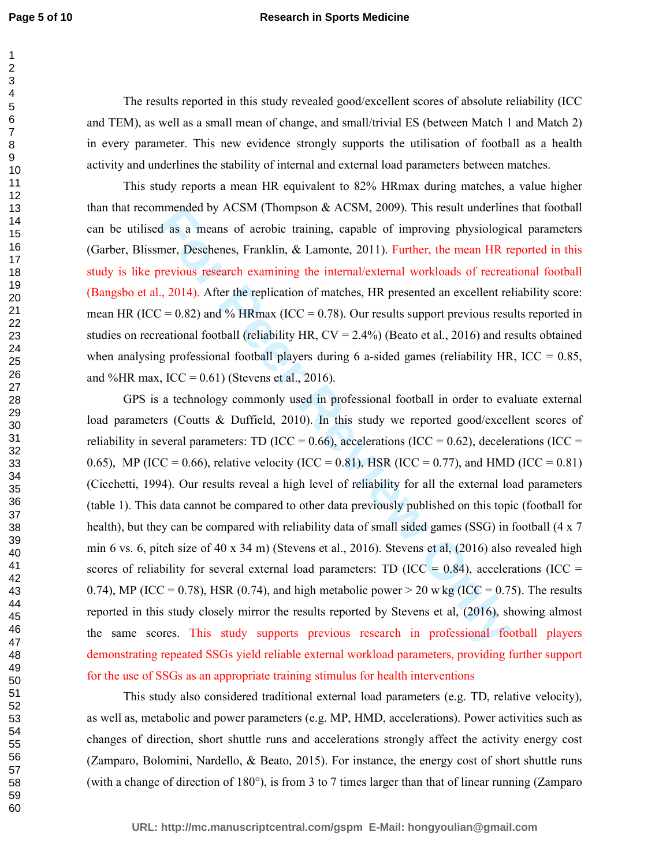### **Research in Sports Medicine**

The results reported in this study revealed good/excellent scores of absolute reliability (ICC and TEM), as well as a small mean of change, and small/trivial ES (between Match 1 and Match 2) in every parameter. This new evidence strongly supports the utilisation of football as a health activity and underlines the stability of internal and external load parameters between matches.

This study reports a mean HR equivalent to 82% HRmax during matches, a value higher than that recommended by ACSM (Thompson & ACSM, 2009). This result underlines that football can be utilised as a means of aerobic training, capable of improving physiological parameters (Garber, Blissmer, Deschenes, Franklin, & Lamonte, 2011). Further, the mean HR reported in this study is like previous research examining the internal/external workloads of recreational football (Bangsbo et al., 2014). After the replication of matches, HR presented an excellent reliability score: mean HR (ICC =  $0.82$ ) and % HRmax (ICC =  $0.78$ ). Our results support previous results reported in studies on recreational football (reliability HR, CV = 2.4%) (Beato et al., 2016) and results obtained when analysing professional football players during 6 a-sided games (reliability HR,  $ICC = 0.85$ , and %HR max,  $ICC = 0.61)$  (Stevens et al., 2016).

mmented by AC.SM (1nompson & AC.SM, 2009). Inis result undernmented as a means of aerobic training, eapable of improving physiologic mer, Deschenes, Franklin, & Lamonte, 2011). Further, the mean HR newious research examin GPS is a technology commonly used in professional football in order to evaluate external load parameters (Coutts & Duffield, 2010). In this study we reported good/excellent scores of reliability in several parameters: TD (ICC = 0.66), accelerations (ICC = 0.62), decelerations (ICC = 0.65), MP (ICC = 0.66), relative velocity (ICC = 0.81), HSR (ICC = 0.77), and HMD (ICC = 0.81) (Cicchetti, 1994). Our results reveal a high level of reliability for all the external load parameters (table 1). This data cannot be compared to other data previously published on this topic (football for health), but they can be compared with reliability data of small sided games (SSG) in football (4 x 7 min 6 vs. 6, pitch size of 40 x 34 m) (Stevens et al., 2016). Stevens et al, (2016) also revealed high scores of reliability for several external load parameters: TD (ICC =  $0.84$ ), accelerations (ICC = 0.74), MP (ICC = 0.78), HSR (0.74), and high metabolic power > 20 wkg (ICC = 0.75). The results reported in this study closely mirror the results reported by Stevens et al, (2016), showing almost the same scores. This study supports previous research in professional football players demonstrating repeated SSGs yield reliable external workload parameters, providing further support for the use of SSGs as an appropriate training stimulus for health interventions

This study also considered traditional external load parameters (e.g. TD, relative velocity), as well as, metabolic and power parameters (e.g. MP, HMD, accelerations). Power activities such as changes of direction, short shuttle runs and accelerations strongly affect the activity energy cost (Zamparo, Bolomini, Nardello, & Beato, 2015). For instance, the energy cost of short shuttle runs (with a change of direction of 180°), is from 3 to 7 times larger than that of linear running (Zamparo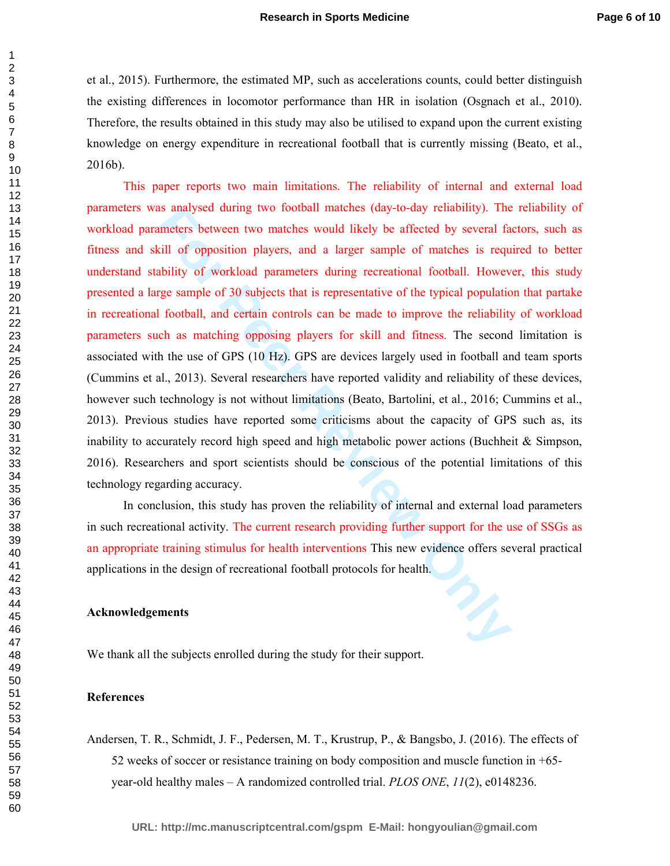et al., 2015). Furthermore, the estimated MP, such as accelerations counts, could better distinguish the existing differences in locomotor performance than HR in isolation (Osgnach et al., 2010). Therefore, the results obtained in this study may also be utilised to expand upon the current existing knowledge on energy expenditure in recreational football that is currently missing (Beato, et al., 2016b).

as analysed during two tootoal matches (day-to-day rehability). The<br>ameters between two matches would likely be affected by several fa<br>kill of opposition players, and a larger sample of matches is requ<br>ability of workload This paper reports two main limitations. The reliability of internal and external load parameters was analysed during two football matches (day-to-day reliability). The reliability of workload parameters between two matches would likely be affected by several factors, such as fitness and skill of opposition players, and a larger sample of matches is required to better understand stability of workload parameters during recreational football. However, this study presented a large sample of 30 subjects that is representative of the typical population that partake in recreational football, and certain controls can be made to improve the reliability of workload parameters such as matching opposing players for skill and fitness. The second limitation is associated with the use of GPS (10 Hz). GPS are devices largely used in football and team sports (Cummins et al., 2013). Several researchers have reported validity and reliability of these devices, however such technology is not without limitations (Beato, Bartolini, et al., 2016; Cummins et al., 2013). Previous studies have reported some criticisms about the capacity of GPS such as, its inability to accurately record high speed and high metabolic power actions (Buchheit & Simpson, 2016). Researchers and sport scientists should be conscious of the potential limitations of this technology regarding accuracy.

In conclusion, this study has proven the reliability of internal and external load parameters in such recreational activity. The current research providing further support for the use of SSGs as an appropriate training stimulus for health interventions This new evidence offers several practical applications in the design of recreational football protocols for health.

### **Acknowledgements**

We thank all the subjects enrolled during the study for their support.

## **References**

Andersen, T. R., Schmidt, J. F., Pedersen, M. T., Krustrup, P., & Bangsbo, J. (2016). The effects of 52 weeks of soccer or resistance training on body composition and muscle function in +65 year-old healthy males – A randomized controlled trial. *PLOS ONE*, *11*(2), e0148236.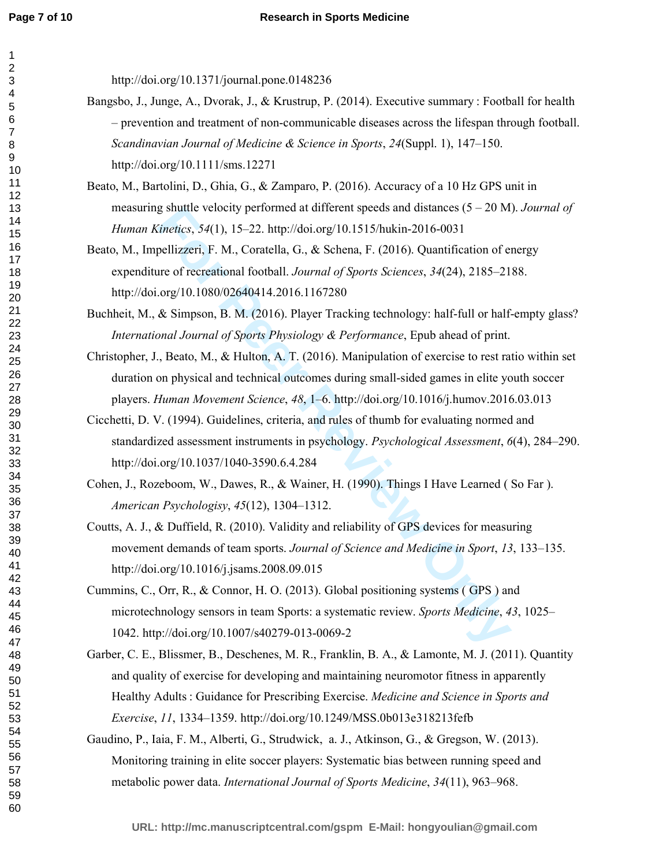#### **Research in Sports Medicine**

http://doi.org/10.1371/journal.pone.0148236

- Bangsbo, J., Junge, A., Dvorak, J., & Krustrup, P. (2014). Executive summary : Football for health – prevention and treatment of non-communicable diseases across the lifespan through football. *Scandinavian Journal of Medicine & Science in Sports*, *24*(Suppl. 1), 147–150. http://doi.org/10.1111/sms.12271
- Beato, M., Bartolini, D., Ghia, G., & Zamparo, P. (2016). Accuracy of a 10 Hz GPS unit in measuring shuttle velocity performed at different speeds and distances (5 – 20 M). *Journal of Human Kinetics*, *54*(1), 15–22. http://doi.org/10.1515/hukin-2016-0031
- g shuttle velocity performed at direrent speeds and distances (5 20 M<br> *inetics*, 54(1), 15–22. http://doi.org/10.1515/hukin-2016-0031<br>
pellizzeri, F. M., Coratella, G., & Schena, F. (2016). Quantification of e<br>
are of r Beato, M., Impellizzeri, F. M., Coratella, G., & Schena, F. (2016). Quantification of energy expenditure of recreational football. *Journal of Sports Sciences*, *34*(24), 2185–2188. http://doi.org/10.1080/02640414.2016.1167280
- Buchheit, M., & Simpson, B. M. (2016). Player Tracking technology: half-full or half-empty glass? *International Journal of Sports Physiology & Performance*, Epub ahead of print.
- Christopher, J., Beato, M., & Hulton, A. T. (2016). Manipulation of exercise to rest ratio within set duration on physical and technical outcomes during small-sided games in elite youth soccer players. *Human Movement Science*, *48*, 1–6. http://doi.org/10.1016/j.humov.2016.03.013
- Cicchetti, D. V. (1994). Guidelines, criteria, and rules of thumb for evaluating normed and standardized assessment instruments in psychology. *Psychological Assessment*, *6*(4), 284–290. http://doi.org/10.1037/1040-3590.6.4.284
- Cohen, J., Rozeboom, W., Dawes, R., & Wainer, H. (1990). Things I Have Learned ( So Far ). *American Psychologisy*, *45*(12), 1304–1312.
- Coutts, A. J., & Duffield, R. (2010). Validity and reliability of GPS devices for measuring movement demands of team sports. *Journal of Science and Medicine in Sport*, *13*, 133–135. http://doi.org/10.1016/j.jsams.2008.09.015
- Cummins, C., Orr, R., & Connor, H. O. (2013). Global positioning systems ( GPS ) and microtechnology sensors in team Sports: a systematic review. *Sports Medicine*, *43*, 1025– 1042. http://doi.org/10.1007/s40279-013-0069-2
- Garber, C. E., Blissmer, B., Deschenes, M. R., Franklin, B. A., & Lamonte, M. J. (2011). Quantity and quality of exercise for developing and maintaining neuromotor fitness in apparently Healthy Adults : Guidance for Prescribing Exercise. *Medicine and Science in Sports and Exercise*, *11*, 1334–1359. http://doi.org/10.1249/MSS.0b013e318213fefb
- Gaudino, P., Iaia, F. M., Alberti, G., Strudwick, a. J., Atkinson, G., & Gregson, W. (2013). Monitoring training in elite soccer players: Systematic bias between running speed and metabolic power data. *International Journal of Sports Medicine*, *34*(11), 963–968.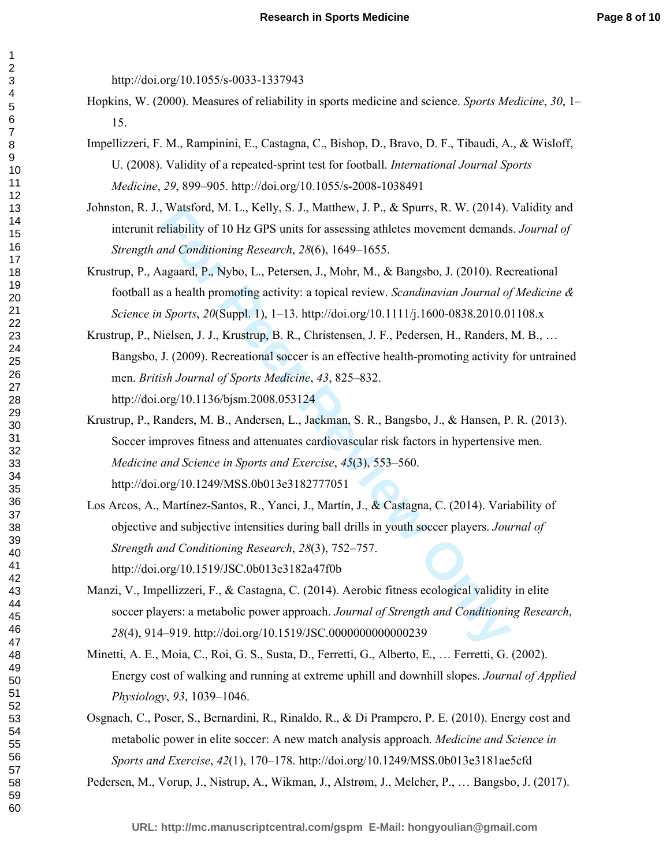http://doi.org/10.1055/s-0033-1337943

- Hopkins, W. (2000). Measures of reliability in sports medicine and science. *Sports Medicine*, *30*, 1– 15.
- Impellizzeri, F. M., Rampinini, E., Castagna, C., Bishop, D., Bravo, D. F., Tibaudi, A., & Wisloff, U. (2008). Validity of a repeated-sprint test for football. *International Journal Sports Medicine*, *29*, 899–905. http://doi.org/10.1055/s-2008-1038491
- Johnston, R. J., Watsford, M. L., Kelly, S. J., Matthew, J. P., & Spurrs, R. W. (2014). Validity and interunit reliability of 10 Hz GPS units for assessing athletes movement demands. *Journal of Strength and Conditioning Research*, *28*(6), 1649–1655.
- Krustrup, P., Aagaard, P., Nybo, L., Petersen, J., Mohr, M., & Bangsbo, J. (2010). Recreational football as a health promoting activity: a topical review. *Scandinavian Journal of Medicine & Science in Sports*, *20*(Suppl. 1), 1–13. http://doi.org/10.1111/j.1600-0838.2010.01108.x
- Krustrup, P., Nielsen, J. J., Krustrup, B. R., Christensen, J. F., Pedersen, H., Randers, M. B., … Bangsbo, J. (2009). Recreational soccer is an effective health-promoting activity for untrained men. *British Journal of Sports Medicine*, *43*, 825–832. http://doi.org/10.1136/bjsm.2008.053124
- a, watstora, M. L., Keily, S. J., Mattmew, J. P., & Spurrs, K. W. (2014).<br> **Feliability of 10 Hz GPS units for assessing athletes movement demands<br>
and Conditioning Research, 28(6), 1649–1655.<br>
Aagaard, P., Nybo, L., Peter** Krustrup, P., Randers, M. B., Andersen, L., Jackman, S. R., Bangsbo, J., & Hansen, P. R. (2013). Soccer improves fitness and attenuates cardiovascular risk factors in hypertensive men. *Medicine and Science in Sports and Exercise*, *45*(3), 553–560. http://doi.org/10.1249/MSS.0b013e3182777051
- Los Arcos, A., Martínez-Santos, R., Yanci, J., Martín, J., & Castagna, C. (2014). Variability of objective and subjective intensities during ball drills in youth soccer players. *Journal of Strength and Conditioning Research*, *28*(3), 752–757. http://doi.org/10.1519/JSC.0b013e3182a47f0b
- Manzi, V., Impellizzeri, F., & Castagna, C. (2014). Aerobic fitness ecological validity in elite soccer players: a metabolic power approach. *Journal of Strength and Conditioning Research*, (4), 914–919. http://doi.org/10.1519/JSC.0000000000000239
- Minetti, A. E., Moia, C., Roi, G. S., Susta, D., Ferretti, G., Alberto, E., … Ferretti, G. (2002). Energy cost of walking and running at extreme uphill and downhill slopes. *Journal of Applied Physiology*, *93*, 1039–1046.
- Osgnach, C., Poser, S., Bernardini, R., Rinaldo, R., & Di Prampero, P. E. (2010). Energy cost and metabolic power in elite soccer: A new match analysis approach. *Medicine and Science in Sports and Exercise*, *42*(1), 170–178. http://doi.org/10.1249/MSS.0b013e3181ae5cfd

Pedersen, M., Vorup, J., Nistrup, A., Wikman, J., Alstrøm, J., Melcher, P., … Bangsbo, J. (2017).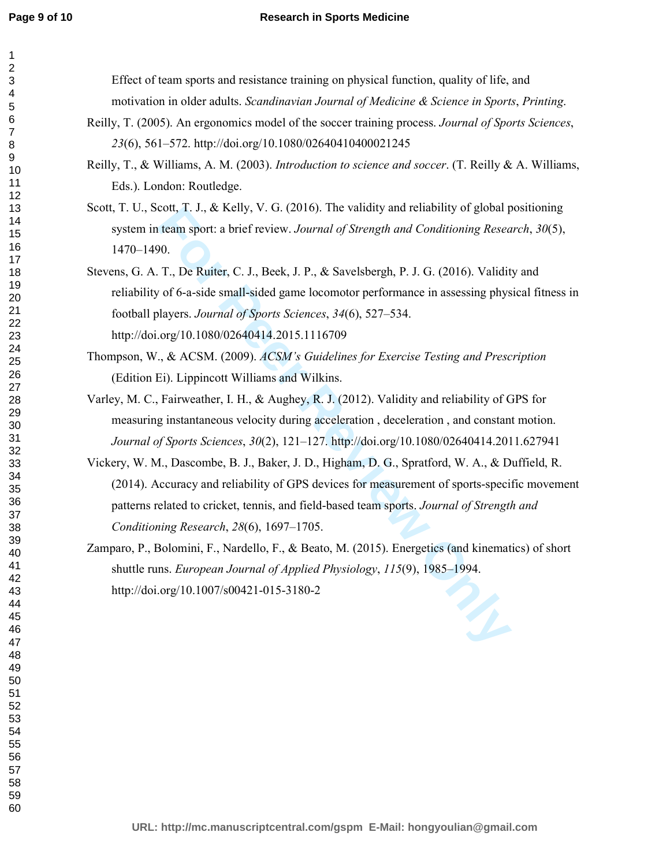## **Research in Sports Medicine**

Form 1. J., & Kelly, V. G. (2016). The valitatly and reliability of global please<br>
For Peergel, and Conditioning Research.<br> **F.**, De Ruiter, C. J., Beek, J. P., & Savelsbergh, P. J. G. (2016). Validition for G-a-side small Effect of team sports and resistance training on physical function, quality of life, and motivation in older adults. *Scandinavian Journal of Medicine & Science in Sports*, *Printing*. Reilly, T. (2005). An ergonomics model of the soccer training process. *Journal of Sports Sciences*, (6), 561–572. http://doi.org/10.1080/02640410400021245 Reilly, T., & Williams, A. M. (2003). *Introduction to science and soccer*. (T. Reilly & A. Williams, Eds.). London: Routledge. Scott, T. U., Scott, T. J., & Kelly, V. G. (2016). The validity and reliability of global positioning system in team sport: a brief review. *Journal of Strength and Conditioning Research*, *30*(5), 1470–1490. Stevens, G. A. T., De Ruiter, C. J., Beek, J. P., & Savelsbergh, P. J. G. (2016). Validity and reliability of 6-a-side small-sided game locomotor performance in assessing physical fitness in football players. *Journal of Sports Sciences*, *34*(6), 527–534. http://doi.org/10.1080/02640414.2015.1116709 Thompson, W., & ACSM. (2009). *ACSM's Guidelines for Exercise Testing and Prescription* (Edition Ei). Lippincott Williams and Wilkins. Varley, M. C., Fairweather, I. H., & Aughey, R. J. (2012). Validity and reliability of GPS for measuring instantaneous velocity during acceleration , deceleration , and constant motion. *Journal of Sports Sciences*, *30*(2), 121–127. http://doi.org/10.1080/02640414.2011.627941 Vickery, W. M., Dascombe, B. J., Baker, J. D., Higham, D. G., Spratford, W. A., & Duffield, R. (2014). Accuracy and reliability of GPS devices for measurement of sports-specific movement patterns related to cricket, tennis, and field-based team sports. *Journal of Strength and Conditioning Research*, *28*(6), 1697–1705. Zamparo, P., Bolomini, F., Nardello, F., & Beato, M. (2015). Energetics (and kinematics) of short shuttle runs. *European Journal of Applied Physiology*, *115*(9), 1985–1994. http://doi.org/10.1007/s00421-015-3180-2